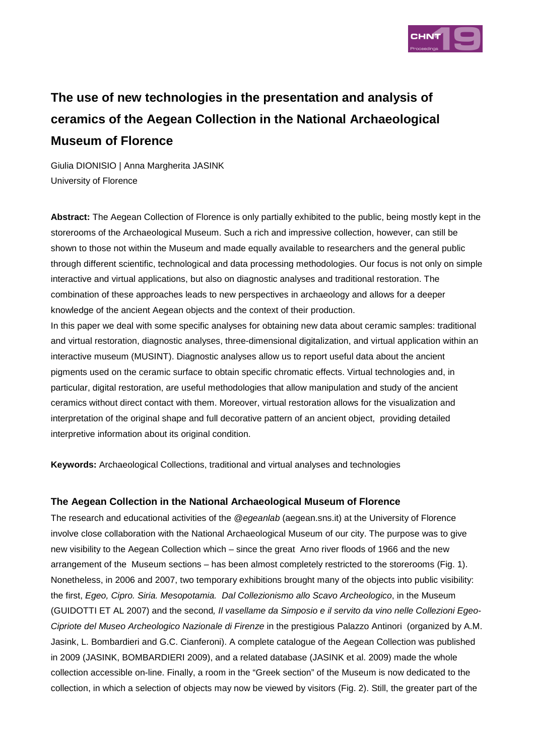

# **The use of new technologies in the presentation and analysis of ceramics of the Aegean Collection in the National Archaeological Museum of Florence**

Giulia DIONISIO | Anna Margherita JASINK University of Florence

**Abstract:** The Aegean Collection of Florence is only partially exhibited to the public, being mostly kept in the storerooms of the Archaeological Museum. Such a rich and impressive collection, however, can still be shown to those not within the Museum and made equally available to researchers and the general public through different scientific, technological and data processing methodologies. Our focus is not only on simple interactive and virtual applications, but also on diagnostic analyses and traditional restoration. The combination of these approaches leads to new perspectives in archaeology and allows for a deeper knowledge of the ancient Aegean objects and the context of their production.

In this paper we deal with some specific analyses for obtaining new data about ceramic samples: traditional and virtual restoration, diagnostic analyses, three-dimensional digitalization, and virtual application within an interactive museum (MUSINT). Diagnostic analyses allow us to report useful data about the ancient pigments used on the ceramic surface to obtain specific chromatic effects. Virtual technologies and, in particular, digital restoration, are useful methodologies that allow manipulation and study of the ancient ceramics without direct contact with them. Moreover, virtual restoration allows for the visualization and interpretation of the original shape and full decorative pattern of an ancient object, providing detailed interpretive information about its original condition.

**Keywords:** Archaeological Collections, traditional and virtual analyses and technologies

## **The Aegean Collection in the National Archaeological Museum of Florence**

The research and educational activities of the @egeanlab (aegean.sns.it) at the University of Florence involve close collaboration with the National Archaeological Museum of our city. The purpose was to give new visibility to the Aegean Collection which – since the great Arno river floods of 1966 and the new arrangement of the Museum sections – has been almost completely restricted to the storerooms (Fig. 1). Nonetheless, in 2006 and 2007, two temporary exhibitions brought many of the objects into public visibility: the first, Egeo, Cipro. Siria. Mesopotamia. Dal Collezionismo allo Scavo Archeologico, in the Museum (GUIDOTTI ET AL 2007) and the second, Il vasellame da Simposio e il servito da vino nelle Collezioni Egeo-Cipriote del Museo Archeologico Nazionale di Firenze in the prestigious Palazzo Antinori (organized by A.M. Jasink, L. Bombardieri and G.C. Cianferoni). A complete catalogue of the Aegean Collection was published in 2009 (JASINK, BOMBARDIERI 2009), and a related database (JASINK et al. 2009) made the whole collection accessible on-line. Finally, a room in the "Greek section" of the Museum is now dedicated to the collection, in which a selection of objects may now be viewed by visitors (Fig. 2). Still, the greater part of the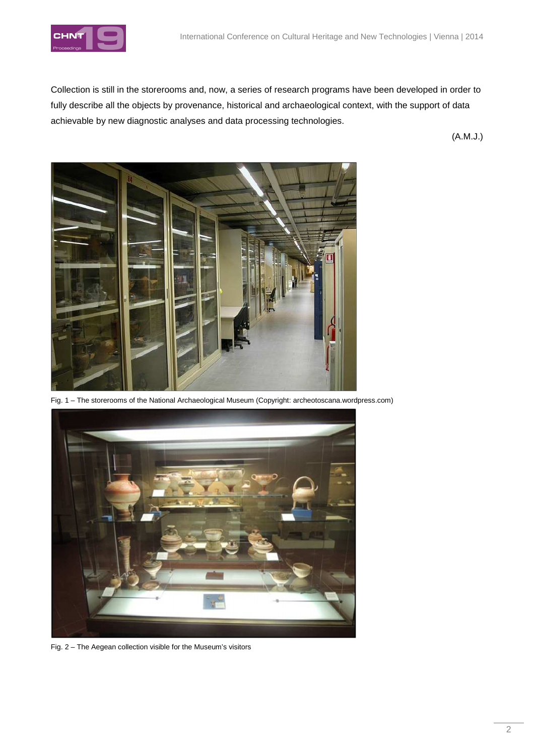

Collection is still in the storerooms and, now, a series of research programs have been developed in order to fully describe all the objects by provenance, historical and archaeological context, with the support of data achievable by new diagnostic analyses and data processing technologies.

(A.M.J.)



Fig. 1 – The storerooms of the National Archaeological Museum (Copyright: archeotoscana.wordpress.com)



Fig. 2 – The Aegean collection visible for the Museum's visitors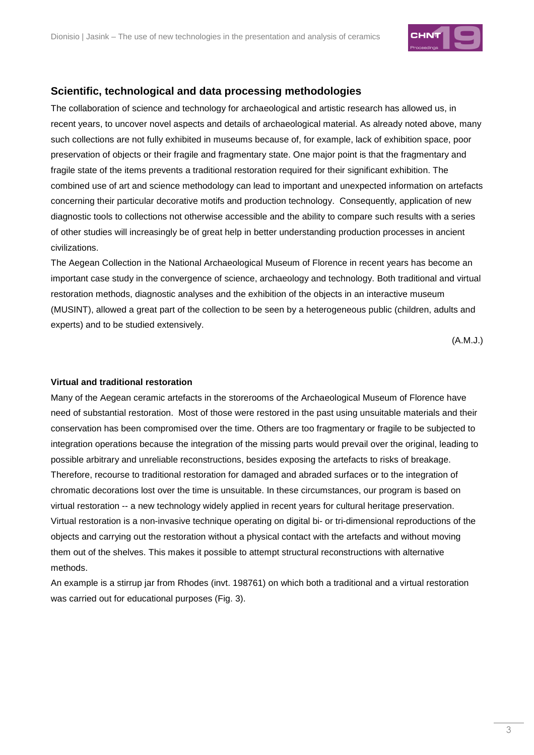

# **Scientific, technological and data processing methodologies**

The collaboration of science and technology for archaeological and artistic research has allowed us, in recent years, to uncover novel aspects and details of archaeological material. As already noted above, many such collections are not fully exhibited in museums because of, for example, lack of exhibition space, poor preservation of objects or their fragile and fragmentary state. One major point is that the fragmentary and fragile state of the items prevents a traditional restoration required for their significant exhibition. The combined use of art and science methodology can lead to important and unexpected information on artefacts concerning their particular decorative motifs and production technology. Consequently, application of new diagnostic tools to collections not otherwise accessible and the ability to compare such results with a series of other studies will increasingly be of great help in better understanding production processes in ancient civilizations.

The Aegean Collection in the National Archaeological Museum of Florence in recent years has become an important case study in the convergence of science, archaeology and technology. Both traditional and virtual restoration methods, diagnostic analyses and the exhibition of the objects in an interactive museum (MUSINT), allowed a great part of the collection to be seen by a heterogeneous public (children, adults and experts) and to be studied extensively.

(A.M.J.)

#### **Virtual and traditional restoration**

Many of the Aegean ceramic artefacts in the storerooms of the Archaeological Museum of Florence have need of substantial restoration. Most of those were restored in the past using unsuitable materials and their conservation has been compromised over the time. Others are too fragmentary or fragile to be subjected to integration operations because the integration of the missing parts would prevail over the original, leading to possible arbitrary and unreliable reconstructions, besides exposing the artefacts to risks of breakage. Therefore, recourse to traditional restoration for damaged and abraded surfaces or to the integration of chromatic decorations lost over the time is unsuitable. In these circumstances, our program is based on virtual restoration -- a new technology widely applied in recent years for cultural heritage preservation. Virtual restoration is a non-invasive technique operating on digital bi- or tri-dimensional reproductions of the objects and carrying out the restoration without a physical contact with the artefacts and without moving them out of the shelves. This makes it possible to attempt structural reconstructions with alternative methods.

An example is a stirrup jar from Rhodes (invt. 198761) on which both a traditional and a virtual restoration was carried out for educational purposes (Fig. 3).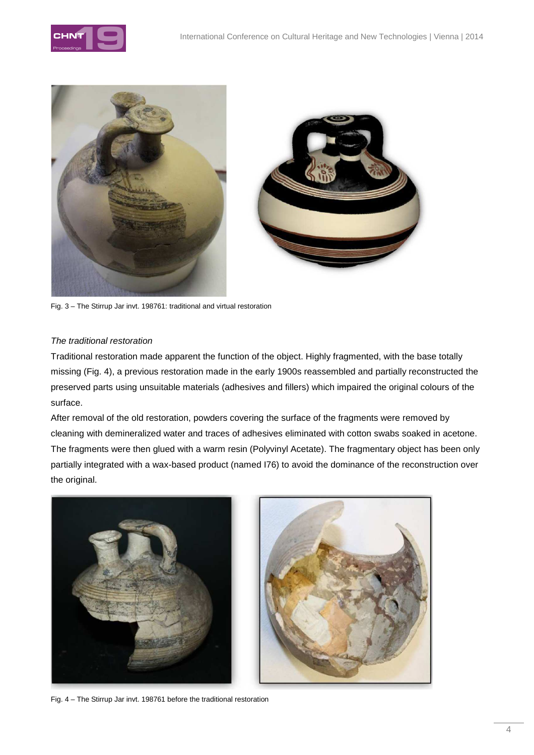





Fig. 3 – The Stirrup Jar invt. 198761: traditional and virtual restoration

## The traditional restoration

Traditional restoration made apparent the function of the object. Highly fragmented, with the base totally missing (Fig. 4), a previous restoration made in the early 1900s reassembled and partially reconstructed the preserved parts using unsuitable materials (adhesives and fillers) which impaired the original colours of the surface.

After removal of the old restoration, powders covering the surface of the fragments were removed by cleaning with demineralized water and traces of adhesives eliminated with cotton swabs soaked in acetone. The fragments were then glued with a warm resin (Polyvinyl Acetate). The fragmentary object has been only partially integrated with a wax-based product (named I76) to avoid the dominance of the reconstruction over the original.



Fig. 4 – The Stirrup Jar invt. 198761 before the traditional restoration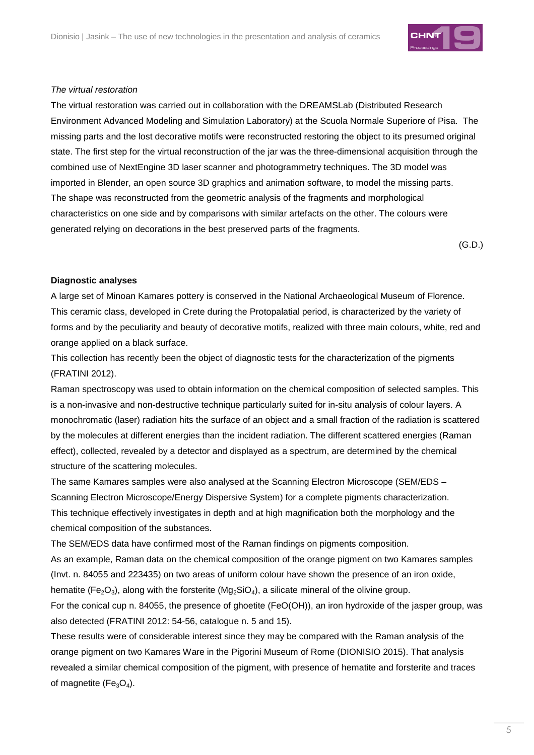

## The virtual restoration

The virtual restoration was carried out in collaboration with the DREAMSLab (Distributed Research Environment Advanced Modeling and Simulation Laboratory) at the Scuola Normale Superiore of Pisa. The missing parts and the lost decorative motifs were reconstructed restoring the object to its presumed original state. The first step for the virtual reconstruction of the jar was the three-dimensional acquisition through the combined use of NextEngine 3D laser scanner and photogrammetry techniques. The 3D model was imported in Blender, an open source 3D graphics and animation software, to model the missing parts. The shape was reconstructed from the geometric analysis of the fragments and morphological characteristics on one side and by comparisons with similar artefacts on the other. The colours were generated relying on decorations in the best preserved parts of the fragments.

(G.D.)

## **Diagnostic analyses**

A large set of Minoan Kamares pottery is conserved in the National Archaeological Museum of Florence. This ceramic class, developed in Crete during the Protopalatial period, is characterized by the variety of forms and by the peculiarity and beauty of decorative motifs, realized with three main colours, white, red and orange applied on a black surface.

This collection has recently been the object of diagnostic tests for the characterization of the pigments (FRATINI 2012).

Raman spectroscopy was used to obtain information on the chemical composition of selected samples. This is a non-invasive and non-destructive technique particularly suited for in-situ analysis of colour layers. A monochromatic (laser) radiation hits the surface of an object and a small fraction of the radiation is scattered by the molecules at different energies than the incident radiation. The different scattered energies (Raman effect), collected, revealed by a detector and displayed as a spectrum, are determined by the chemical structure of the scattering molecules.

The same Kamares samples were also analysed at the Scanning Electron Microscope (SEM/EDS – Scanning Electron Microscope/Energy Dispersive System) for a complete pigments characterization. This technique effectively investigates in depth and at high magnification both the morphology and the chemical composition of the substances.

The SEM/EDS data have confirmed most of the Raman findings on pigments composition.

As an example, Raman data on the chemical composition of the orange pigment on two Kamares samples (Invt. n. 84055 and 223435) on two areas of uniform colour have shown the presence of an iron oxide, hematite (Fe<sub>2</sub>O<sub>3</sub>), along with the forsterite (Mg<sub>2</sub>SiO<sub>4</sub>), a silicate mineral of the olivine group.

For the conical cup n. 84055, the presence of ghoetite (FeO(OH)), an iron hydroxide of the jasper group, was also detected (FRATINI 2012: 54-56, catalogue n. 5 and 15).

These results were of considerable interest since they may be compared with the Raman analysis of the orange pigment on two Kamares Ware in the Pigorini Museum of Rome (DIONISIO 2015). That analysis revealed a similar chemical composition of the pigment, with presence of hematite and forsterite and traces of magnetite ( $Fe<sub>3</sub>O<sub>4</sub>$ ).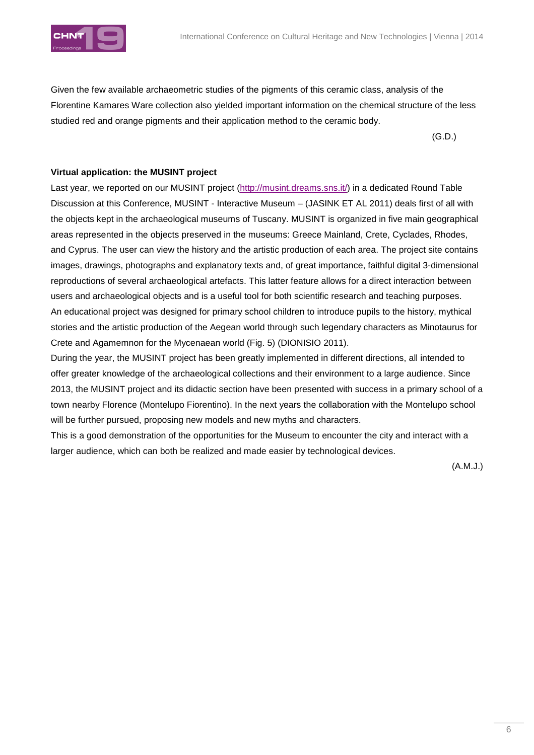

Given the few available archaeometric studies of the pigments of this ceramic class, analysis of the Florentine Kamares Ware collection also yielded important information on the chemical structure of the less studied red and orange pigments and their application method to the ceramic body.

 $(G.D.)$ 

## **Virtual application: the MUSINT project**

Last year, we reported on our MUSINT project (http://musint.dreams.sns.it/) in a dedicated Round Table Discussion at this Conference, MUSINT - Interactive Museum – (JASINK ET AL 2011) deals first of all with the objects kept in the archaeological museums of Tuscany. MUSINT is organized in five main geographical areas represented in the objects preserved in the museums: Greece Mainland, Crete, Cyclades, Rhodes, and Cyprus. The user can view the history and the artistic production of each area. The project site contains images, drawings, photographs and explanatory texts and, of great importance, faithful digital 3-dimensional reproductions of several archaeological artefacts. This latter feature allows for a direct interaction between users and archaeological objects and is a useful tool for both scientific research and teaching purposes. An educational project was designed for primary school children to introduce pupils to the history, mythical stories and the artistic production of the Aegean world through such legendary characters as Minotaurus for Crete and Agamemnon for the Mycenaean world (Fig. 5) (DIONISIO 2011).

During the year, the MUSINT project has been greatly implemented in different directions, all intended to offer greater knowledge of the archaeological collections and their environment to a large audience. Since 2013, the MUSINT project and its didactic section have been presented with success in a primary school of a town nearby Florence (Montelupo Fiorentino). In the next years the collaboration with the Montelupo school will be further pursued, proposing new models and new myths and characters.

This is a good demonstration of the opportunities for the Museum to encounter the city and interact with a larger audience, which can both be realized and made easier by technological devices.

(A.M.J.)